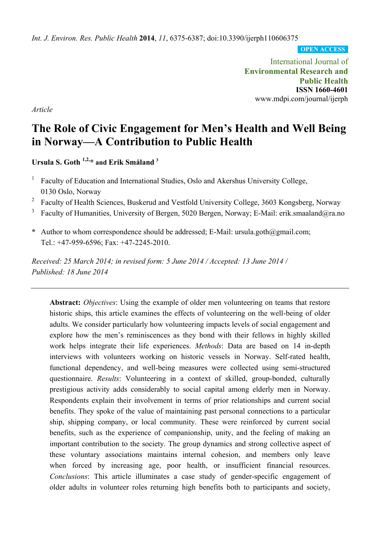*Int. J. Environ. Res. Public Health* **2014**, *11*, 6375-6387; doi:10.3390/ijerph110606375

**OPEN ACCESS**

International Journal of **Environmental Research and Public Health ISSN 1660-4601**  www.mdpi.com/journal/ijerph

*Article*

# **The Role of Civic Engagement for Men's Health and Well Being in Norway—A Contribution to Public Health**

**Ursula S. Goth 1,2,\* and Erik Småland <sup>3</sup>**

- 1 Faculty of Education and International Studies, Oslo and Akershus University College, 0130 Oslo, Norway
- 2 Faculty of Health Sciences, Buskerud and Vestfold University College, 3603 Kongsberg, Norway
- 3 Faculty of Humanities, University of Bergen, 5020 Bergen, Norway; E-Mail: erik.smaaland@ra.no
- **\*** Author to whom correspondence should be addressed; E-Mail: ursula.goth@gmail.com; Tel.: +47-959-6596; Fax: +47-2245-2010.

*Received: 25 March 2014; in revised form: 5 June 2014 / Accepted: 13 June 2014 / Published: 18 June 2014* 

**Abstract:** *Objectives*: Using the example of older men volunteering on teams that restore historic ships, this article examines the effects of volunteering on the well-being of older adults. We consider particularly how volunteering impacts levels of social engagement and explore how the men's reminiscences as they bond with their fellows in highly skilled work helps integrate their life experiences. *Methods*: Data are based on 14 in-depth interviews with volunteers working on historic vessels in Norway. Self-rated health, functional dependency, and well-being measures were collected using semi-structured questionnaire. *Results*: Volunteering in a context of skilled, group-bonded, culturally prestigious activity adds considerably to social capital among elderly men in Norway. Respondents explain their involvement in terms of prior relationships and current social benefits. They spoke of the value of maintaining past personal connections to a particular ship, shipping company, or local community. These were reinforced by current social benefits, such as the experience of companionship, unity, and the feeling of making an important contribution to the society. The group dynamics and strong collective aspect of these voluntary associations maintains internal cohesion, and members only leave when forced by increasing age, poor health, or insufficient financial resources. *Conclusions*: This article illuminates a case study of gender-specific engagement of older adults in volunteer roles returning high benefits both to participants and society,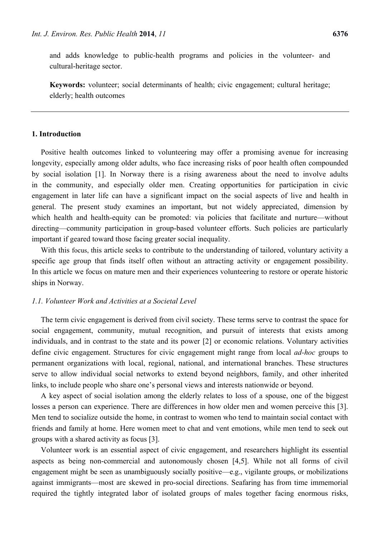and adds knowledge to public-health programs and policies in the volunteer- and cultural-heritage sector.

**Keywords:** volunteer; social determinants of health; civic engagement; cultural heritage; elderly; health outcomes

# **1. Introduction**

Positive health outcomes linked to volunteering may offer a promising avenue for increasing longevity, especially among older adults, who face increasing risks of poor health often compounded by social isolation [1]. In Norway there is a rising awareness about the need to involve adults in the community, and especially older men. Creating opportunities for participation in civic engagement in later life can have a significant impact on the social aspects of live and health in general. The present study examines an important, but not widely appreciated, dimension by which health and health-equity can be promoted: via policies that facilitate and nurture—without directing—community participation in group-based volunteer efforts. Such policies are particularly important if geared toward those facing greater social inequality.

With this focus, this article seeks to contribute to the understanding of tailored, voluntary activity a specific age group that finds itself often without an attracting activity or engagement possibility. In this article we focus on mature men and their experiences volunteering to restore or operate historic ships in Norway.

## *1.1. Volunteer Work and Activities at a Societal Level*

The term civic engagement is derived from civil society. These terms serve to contrast the space for social engagement, community, mutual recognition, and pursuit of interests that exists among individuals, and in contrast to the state and its power [2] or economic relations. Voluntary activities define civic engagement. Structures for civic engagement might range from local *ad-hoc* groups to permanent organizations with local, regional, national, and international branches. These structures serve to allow individual social networks to extend beyond neighbors, family, and other inherited links, to include people who share one's personal views and interests nationwide or beyond.

A key aspect of social isolation among the elderly relates to loss of a spouse, one of the biggest losses a person can experience. There are differences in how older men and women perceive this [3]. Men tend to socialize outside the home, in contrast to women who tend to maintain social contact with friends and family at home. Here women meet to chat and vent emotions, while men tend to seek out groups with a shared activity as focus [3].

Volunteer work is an essential aspect of civic engagement, and researchers highlight its essential aspects as being non-commercial and autonomously chosen [4,5]. While not all forms of civil engagement might be seen as unambiguously socially positive—e.g., vigilante groups, or mobilizations against immigrants—most are skewed in pro-social directions. Seafaring has from time immemorial required the tightly integrated labor of isolated groups of males together facing enormous risks,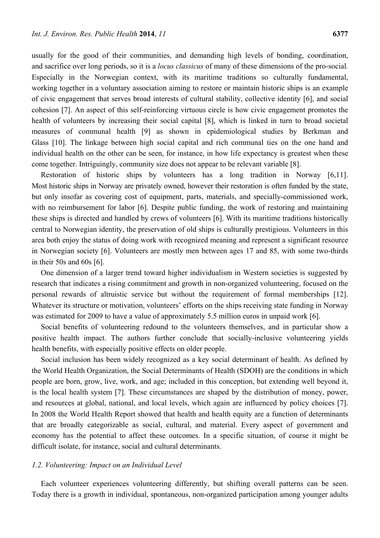usually for the good of their communities, and demanding high levels of bonding, coordination, and sacrifice over long periods, so it is a *locus classicus* of many of these dimensions of the pro-social*.*  Especially in the Norwegian context, with its maritime traditions so culturally fundamental, working together in a voluntary association aiming to restore or maintain historic ships is an example of civic engagement that serves broad interests of cultural stability, collective identity [6], and social cohesion [7]. An aspect of this self-reinforcing virtuous circle is how civic engagement promotes the health of volunteers by increasing their social capital [8], which is linked in turn to broad societal measures of communal health [9] as shown in epidemiological studies by Berkman and Glass [10]. The linkage between high social capital and rich communal ties on the one hand and individual health on the other can be seen, for instance, in how life expectancy is greatest when these come together. Intriguingly, community size does not appear to be relevant variable [8].

Restoration of historic ships by volunteers has a long tradition in Norway [6,11]. Most historic ships in Norway are privately owned, however their restoration is often funded by the state, but only insofar as covering cost of equipment, parts, materials, and specially-commissioned work, with no reimbursement for labor [6]. Despite public funding, the work of restoring and maintaining these ships is directed and handled by crews of volunteers [6]. With its maritime traditions historically central to Norwegian identity, the preservation of old ships is culturally prestigious. Volunteers in this area both enjoy the status of doing work with recognized meaning and represent a significant resource in Norwegian society [6]. Volunteers are mostly men between ages 17 and 85, with some two-thirds in their 50s and 60s [6].

One dimension of a larger trend toward higher individualism in Western societies is suggested by research that indicates a rising commitment and growth in non-organized volunteering, focused on the personal rewards of altruistic service but without the requirement of formal memberships [12]. Whatever its structure or motivation, volunteers' efforts on the ships receiving state funding in Norway was estimated for 2009 to have a value of approximately 5.5 million euros in unpaid work [6].

Social benefits of volunteering redound to the volunteers themselves, and in particular show a positive health impact. The authors further conclude that socially-inclusive volunteering yields health benefits, with especially positive effects on older people.

Social inclusion has been widely recognized as a key social determinant of health. As defined by the World Health Organization, the Social Determinants of Health (SDOH) are the conditions in which people are born, grow, live, work, and age; included in this conception, but extending well beyond it, is the local health system [7]. These circumstances are shaped by the distribution of money, power, and resources at global, national, and local levels, which again are influenced by policy choices [7]. In 2008 the World Health Report showed that health and health equity are a function of determinants that are broadly categorizable as social, cultural, and material. Every aspect of government and economy has the potential to affect these outcomes. In a specific situation, of course it might be difficult isolate, for instance, social and cultural determinants.

# *1.2. Volunteering: Impact on an Individual Level*

Each volunteer experiences volunteering differently, but shifting overall patterns can be seen. Today there is a growth in individual, spontaneous, non-organized participation among younger adults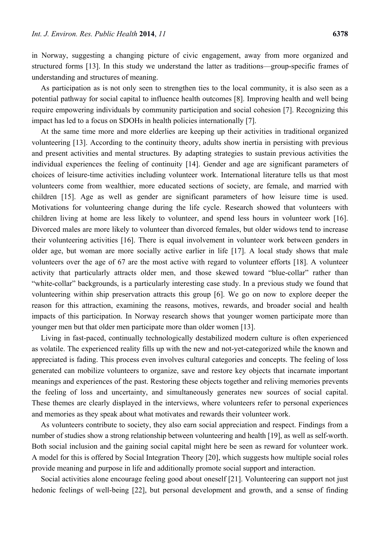in Norway, suggesting a changing picture of civic engagement, away from more organized and structured forms [13]. In this study we understand the latter as traditions—group-specific frames of understanding and structures of meaning.

As participation as is not only seen to strengthen ties to the local community, it is also seen as a potential pathway for social capital to influence health outcomes [8]. Improving health and well being require empowering individuals by community participation and social cohesion [7]. Recognizing this impact has led to a focus on SDOHs in health policies internationally [7].

At the same time more and more elderlies are keeping up their activities in traditional organized volunteering [13]. According to the continuity theory, adults show inertia in persisting with previous and present activities and mental structures. By adapting strategies to sustain previous activities the individual experiences the feeling of continuity [14]. Gender and age are significant parameters of choices of leisure-time activities including volunteer work. International literature tells us that most volunteers come from wealthier, more educated sections of society, are female, and married with children [15]. Age as well as gender are significant parameters of how leisure time is used. Motivations for volunteering change during the life cycle. Research showed that volunteers with children living at home are less likely to volunteer, and spend less hours in volunteer work [16]. Divorced males are more likely to volunteer than divorced females, but older widows tend to increase their volunteering activities [16]. There is equal involvement in volunteer work between genders in older age, but woman are more socially active earlier in life [17]. A local study shows that male volunteers over the age of 67 are the most active with regard to volunteer efforts [18]. A volunteer activity that particularly attracts older men, and those skewed toward "blue-collar" rather than "white-collar" backgrounds, is a particularly interesting case study. In a previous study we found that volunteering within ship preservation attracts this group [6]. We go on now to explore deeper the reason for this attraction, examining the reasons, motives, rewards, and broader social and health impacts of this participation. In Norway research shows that younger women participate more than younger men but that older men participate more than older women [13].

Living in fast-paced, continually technologically destabilized modern culture is often experienced as volatile. The experienced reality fills up with the new and not-yet-categorized while the known and appreciated is fading. This process even involves cultural categories and concepts. The feeling of loss generated can mobilize volunteers to organize, save and restore key objects that incarnate important meanings and experiences of the past. Restoring these objects together and reliving memories prevents the feeling of loss and uncertainty, and simultaneously generates new sources of social capital. These themes are clearly displayed in the interviews, where volunteers refer to personal experiences and memories as they speak about what motivates and rewards their volunteer work.

As volunteers contribute to society, they also earn social appreciation and respect. Findings from a number of studies show a strong relationship between volunteering and health [19], as well as self-worth. Both social inclusion and the gaining social capital might here be seen as reward for volunteer work. A model for this is offered by Social Integration Theory [20], which suggests how multiple social roles provide meaning and purpose in life and additionally promote social support and interaction.

Social activities alone encourage feeling good about oneself [21]. Volunteering can support not just hedonic feelings of well-being [22], but personal development and growth, and a sense of finding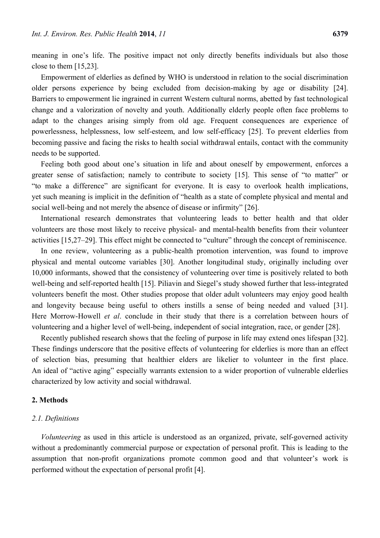meaning in one's life. The positive impact not only directly benefits individuals but also those close to them [15,23].

Empowerment of elderlies as defined by WHO is understood in relation to the social discrimination older persons experience by being excluded from decision-making by age or disability [24]. Barriers to empowerment lie ingrained in current Western cultural norms, abetted by fast technological change and a valorization of novelty and youth. Additionally elderly people often face problems to adapt to the changes arising simply from old age. Frequent consequences are experience of powerlessness, helplessness, low self-esteem, and low self-efficacy [25]. To prevent elderlies from becoming passive and facing the risks to health social withdrawal entails, contact with the community needs to be supported.

Feeling both good about one's situation in life and about oneself by empowerment, enforces a greater sense of satisfaction; namely to contribute to society [15]. This sense of "to matter" or "to make a difference" are significant for everyone. It is easy to overlook health implications, yet such meaning is implicit in the definition of "health as a state of complete physical and mental and social well-being and not merely the absence of disease or infirmity" [26].

International research demonstrates that volunteering leads to better health and that older volunteers are those most likely to receive physical- and mental-health benefits from their volunteer activities [15,27–29]. This effect might be connected to "culture" through the concept of reminiscence.

In one review, volunteering as a public-health promotion intervention, was found to improve physical and mental outcome variables [30]. Another longitudinal study, originally including over 10,000 informants, showed that the consistency of volunteering over time is positively related to both well-being and self-reported health [15]. Piliavin and Siegel's study showed further that less-integrated volunteers benefit the most. Other studies propose that older adult volunteers may enjoy good health and longevity because being useful to others instills a sense of being needed and valued [31]. Here Morrow-Howell *et al*. conclude in their study that there is a correlation between hours of volunteering and a higher level of well-being, independent of social integration, race, or gender [28].

Recently published research shows that the feeling of purpose in life may extend ones lifespan [32]. These findings underscore that the positive effects of volunteering for elderlies is more than an effect of selection bias, presuming that healthier elders are likelier to volunteer in the first place. An ideal of "active aging" especially warrants extension to a wider proportion of vulnerable elderlies characterized by low activity and social withdrawal.

#### **2. Methods**

#### *2.1. Definitions*

*Volunteering* as used in this article is understood as an organized, private, self-governed activity without a predominantly commercial purpose or expectation of personal profit. This is leading to the assumption that non-profit organizations promote common good and that volunteer's work is performed without the expectation of personal profit [4].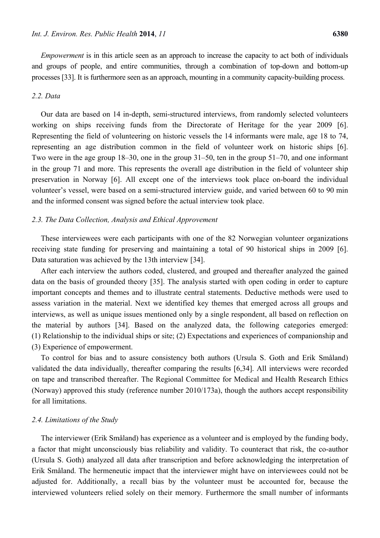*Empowerment* is in this article seen as an approach to increase the capacity to act both of individuals and groups of people, and entire communities, through a combination of top-down and bottom-up processes [33]. It is furthermore seen as an approach, mounting in a community capacity-building process.

# *2.2. Data*

Our data are based on 14 in-depth, semi-structured interviews, from randomly selected volunteers working on ships receiving funds from the Directorate of Heritage for the year 2009 [6]. Representing the field of volunteering on historic vessels the 14 informants were male, age 18 to 74, representing an age distribution common in the field of volunteer work on historic ships [6]. Two were in the age group 18–30, one in the group 31–50, ten in the group 51–70, and one informant in the group 71 and more. This represents the overall age distribution in the field of volunteer ship preservation in Norway [6]. All except one of the interviews took place on-board the individual volunteer's vessel, were based on a semi-structured interview guide, and varied between 60 to 90 min and the informed consent was signed before the actual interview took place.

## *2.3. The Data Collection, Analysis and Ethical Approvement*

These interviewees were each participants with one of the 82 Norwegian volunteer organizations receiving state funding for preserving and maintaining a total of 90 historical ships in 2009 [6]. Data saturation was achieved by the 13th interview [34].

After each interview the authors coded, clustered, and grouped and thereafter analyzed the gained data on the basis of grounded theory [35]. The analysis started with open coding in order to capture important concepts and themes and to illustrate central statements. Deductive methods were used to assess variation in the material. Next we identified key themes that emerged across all groups and interviews, as well as unique issues mentioned only by a single respondent, all based on reflection on the material by authors [34]. Based on the analyzed data, the following categories emerged: (1) Relationship to the individual ships or site; (2) Expectations and experiences of companionship and (3) Experience of empowerment.

To control for bias and to assure consistency both authors (Ursula S. Goth and Erik Småland) validated the data individually, thereafter comparing the results [6,34]. All interviews were recorded on tape and transcribed thereafter. The Regional Committee for Medical and Health Research Ethics (Norway) approved this study (reference number 2010/173a), though the authors accept responsibility for all limitations.

#### *2.4. Limitations of the Study*

The interviewer (Erik Småland) has experience as a volunteer and is employed by the funding body, a factor that might unconsciously bias reliability and validity. To counteract that risk, the co-author (Ursula S. Goth) analyzed all data after transcription and before acknowledging the interpretation of Erik Småland. The hermeneutic impact that the interviewer might have on interviewees could not be adjusted for. Additionally, a recall bias by the volunteer must be accounted for, because the interviewed volunteers relied solely on their memory. Furthermore the small number of informants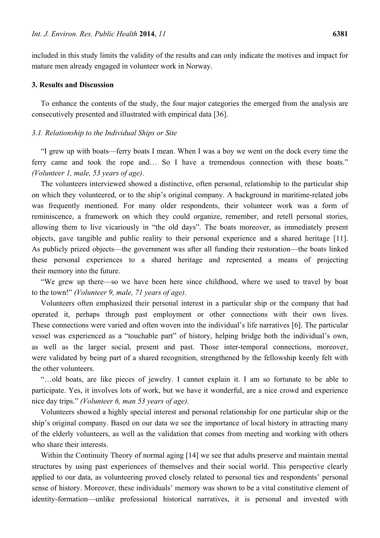included in this study limits the validity of the results and can only indicate the motives and impact for mature men already engaged in volunteer work in Norway.

#### **3. Results and Discussion**

To enhance the contents of the study, the four major categories the emerged from the analysis are consecutively presented and illustrated with empirical data [36].

#### *3.1. Relationship to the Individual Ships or Site*

"I grew up with boats—ferry boats I mean. When I was a boy we went on the dock every time the ferry came and took the rope and… So I have a tremendous connection with these boats." *(Volunteer 1, male, 53 years of age)*.

The volunteers interviewed showed a distinctive, often personal, relationship to the particular ship on which they volunteered, or to the ship's original company. A background in maritime-related jobs was frequently mentioned. For many older respondents, their volunteer work was a form of reminiscence, a framework on which they could organize, remember, and retell personal stories, allowing them to live vicariously in "the old days". The boats moreover, as immediately present objects, gave tangible and public reality to their personal experience and a shared heritage [11]. As publicly prized objects—the government was after all funding their restoration—the boats linked these personal experiences to a shared heritage and represented a means of projecting their memory into the future.

"We grew up there—so we have been here since childhood, where we used to travel by boat to the town!" *(Volunteer 9, male, 71 years of age)*.

Volunteers often emphasized their personal interest in a particular ship or the company that had operated it, perhaps through past employment or other connections with their own lives. These connections were varied and often woven into the individual's life narratives [6]. The particular vessel was experienced as a "touchable part" of history, helping bridge both the individual's own, as well as the larger social, present and past. Those inter-temporal connections, moreover, were validated by being part of a shared recognition, strengthened by the fellowship keenly felt with the other volunteers.

"…old boats, are like pieces of jewelry. I cannot explain it. I am so fortunate to be able to participate. Yes, it involves lots of work, but we have it wonderful, are a nice crowd and experience nice day trips." *(Volunteer 6, man 53 years of age)*.

Volunteers showed a highly special interest and personal relationship for one particular ship or the ship's original company. Based on our data we see the importance of local history in attracting many of the elderly volunteers, as well as the validation that comes from meeting and working with others who share their interests.

Within the Continuity Theory of normal aging [14] we see that adults preserve and maintain mental structures by using past experiences of themselves and their social world. This perspective clearly applied to our data, as volunteering proved closely related to personal ties and respondents' personal sense of history. Moreover, these individuals' memory was shown to be a vital constitutive element of identity-formation—unlike professional historical narratives, it is personal and invested with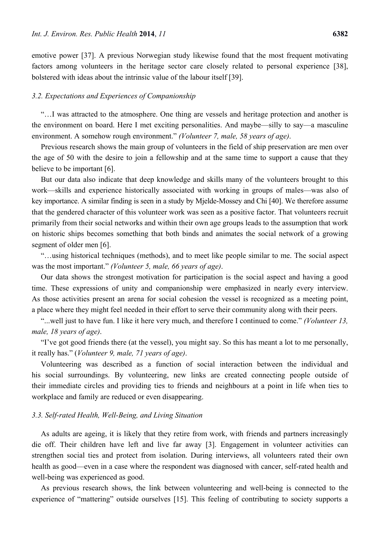emotive power [37]. A previous Norwegian study likewise found that the most frequent motivating factors among volunteers in the heritage sector care closely related to personal experience [38], bolstered with ideas about the intrinsic value of the labour itself [39].

## *3.2. Expectations and Experiences of Companionship*

"…I was attracted to the atmosphere. One thing are vessels and heritage protection and another is the environment on board. Here I met exciting personalities. And maybe—silly to say—a masculine environment. A somehow rough environment." *(Volunteer 7, male, 58 years of age)*.

Previous research shows the main group of volunteers in the field of ship preservation are men over the age of 50 with the desire to join a fellowship and at the same time to support a cause that they believe to be important [6].

But our data also indicate that deep knowledge and skills many of the volunteers brought to this work—skills and experience historically associated with working in groups of males—was also of key importance. A similar finding is seen in a study by Mjelde-Mossey and Chi [40]. We therefore assume that the gendered character of this volunteer work was seen as a positive factor. That volunteers recruit primarily from their social networks and within their own age groups leads to the assumption that work on historic ships becomes something that both binds and animates the social network of a growing segment of older men [6].

"…using historical techniques (methods), and to meet like people similar to me. The social aspect was the most important." *(Volunteer 5, male, 66 years of age)*.

Our data shows the strongest motivation for participation is the social aspect and having a good time. These expressions of unity and companionship were emphasized in nearly every interview. As those activities present an arena for social cohesion the vessel is recognized as a meeting point, a place where they might feel needed in their effort to serve their community along with their peers.

"...well just to have fun. I like it here very much, and therefore I continued to come." *(Volunteer 13, male, 18 years of age)*.

"I've got good friends there (at the vessel), you might say. So this has meant a lot to me personally, it really has." (*Volunteer 9, male, 71 years of age)*.

Volunteering was described as a function of social interaction between the individual and his social surroundings. By volunteering, new links are created connecting people outside of their immediate circles and providing ties to friends and neighbours at a point in life when ties to workplace and family are reduced or even disappearing.

#### *3.3. Self-rated Health, Well-Being, and Living Situation*

As adults are ageing, it is likely that they retire from work, with friends and partners increasingly die off. Their children have left and live far away [3]. Engagement in volunteer activities can strengthen social ties and protect from isolation. During interviews, all volunteers rated their own health as good—even in a case where the respondent was diagnosed with cancer, self-rated health and well-being was experienced as good.

As previous research shows, the link between volunteering and well-being is connected to the experience of "mattering" outside ourselves [15]. This feeling of contributing to society supports a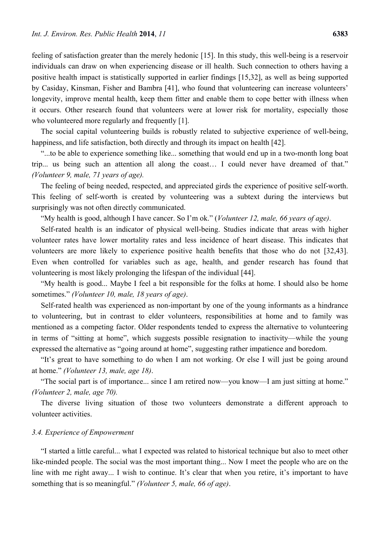feeling of satisfaction greater than the merely hedonic [15]. In this study, this well-being is a reservoir individuals can draw on when experiencing disease or ill health. Such connection to others having a positive health impact is statistically supported in earlier findings [15,32], as well as being supported by Casiday, Kinsman, Fisher and Bambra [41], who found that volunteering can increase volunteers' longevity, improve mental health, keep them fitter and enable them to cope better with illness when it occurs. Other research found that volunteers were at lower risk for mortality, especially those who volunteered more regularly and frequently [1].

The social capital volunteering builds is robustly related to subjective experience of well-being, happiness, and life satisfaction, both directly and through its impact on health [42].

"...to be able to experience something like... something that would end up in a two-month long boat trip... us being such an attention all along the coast… I could never have dreamed of that." *(Volunteer 9, male, 71 years of age).*

The feeling of being needed, respected, and appreciated girds the experience of positive self-worth. This feeling of self-worth is created by volunteering was a subtext during the interviews but surprisingly was not often directly communicated.

"My health is good, although I have cancer. So I'm ok." (*Volunteer 12, male, 66 years of age)*.

Self-rated health is an indicator of physical well-being. Studies indicate that areas with higher volunteer rates have lower mortality rates and less incidence of heart disease. This indicates that volunteers are more likely to experience positive health benefits that those who do not [32,43]. Even when controlled for variables such as age, health, and gender research has found that volunteering is most likely prolonging the lifespan of the individual [44].

"My health is good... Maybe I feel a bit responsible for the folks at home. I should also be home sometimes." *(Volunteer 10, male, 18 years of age)*.

Self-rated health was experienced as non-important by one of the young informants as a hindrance to volunteering, but in contrast to elder volunteers, responsibilities at home and to family was mentioned as a competing factor. Older respondents tended to express the alternative to volunteering in terms of "sitting at home", which suggests possible resignation to inactivity—while the young expressed the alternative as "going around at home", suggesting rather impatience and boredom.

"It's great to have something to do when I am not working. Or else I will just be going around at home." *(Volunteer 13, male, age 18)*.

"The social part is of importance... since I am retired now—you know—I am just sitting at home." *(Volunteer 2, male, age 70).*

The diverse living situation of those two volunteers demonstrate a different approach to volunteer activities.

## *3.4. Experience of Empowerment*

"I started a little careful... what I expected was related to historical technique but also to meet other like-minded people. The social was the most important thing... Now I meet the people who are on the line with me right away... I wish to continue. It's clear that when you retire, it's important to have something that is so meaningful." *(Volunteer 5, male, 66 of age)*.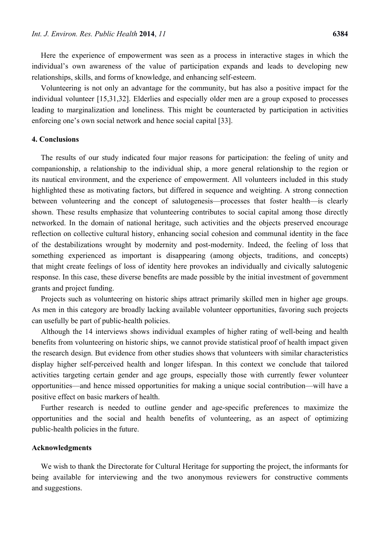Here the experience of empowerment was seen as a process in interactive stages in which the individual's own awareness of the value of participation expands and leads to developing new relationships, skills, and forms of knowledge, and enhancing self-esteem.

Volunteering is not only an advantage for the community, but has also a positive impact for the individual volunteer [15,31,32]. Elderlies and especially older men are a group exposed to processes leading to marginalization and loneliness. This might be counteracted by participation in activities enforcing one's own social network and hence social capital [33].

# **4. Conclusions**

The results of our study indicated four major reasons for participation: the feeling of unity and companionship, a relationship to the individual ship, a more general relationship to the region or its nautical environment, and the experience of empowerment. All volunteers included in this study highlighted these as motivating factors, but differed in sequence and weighting. A strong connection between volunteering and the concept of salutogenesis—processes that foster health—is clearly shown. These results emphasize that volunteering contributes to social capital among those directly networked. In the domain of national heritage, such activities and the objects preserved encourage reflection on collective cultural history, enhancing social cohesion and communal identity in the face of the destabilizations wrought by modernity and post-modernity. Indeed, the feeling of loss that something experienced as important is disappearing (among objects, traditions, and concepts) that might create feelings of loss of identity here provokes an individually and civically salutogenic response. In this case, these diverse benefits are made possible by the initial investment of government grants and project funding.

Projects such as volunteering on historic ships attract primarily skilled men in higher age groups. As men in this category are broadly lacking available volunteer opportunities, favoring such projects can usefully be part of public-health policies.

Although the 14 interviews shows individual examples of higher rating of well-being and health benefits from volunteering on historic ships, we cannot provide statistical proof of health impact given the research design. But evidence from other studies shows that volunteers with similar characteristics display higher self-perceived health and longer lifespan. In this context we conclude that tailored activities targeting certain gender and age groups, especially those with currently fewer volunteer opportunities—and hence missed opportunities for making a unique social contribution—will have a positive effect on basic markers of health.

Further research is needed to outline gender and age-specific preferences to maximize the opportunities and the social and health benefits of volunteering, as an aspect of optimizing public-health policies in the future.

#### **Acknowledgments**

We wish to thank the Directorate for Cultural Heritage for supporting the project, the informants for being available for interviewing and the two anonymous reviewers for constructive comments and suggestions.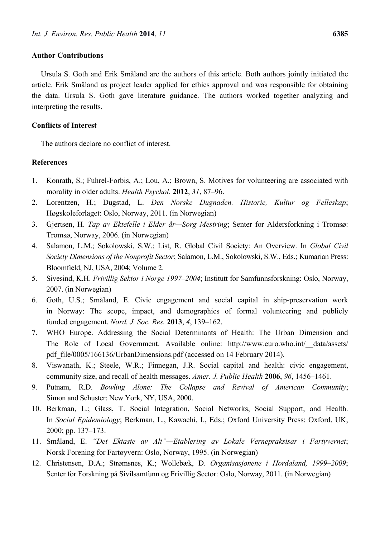## **Author Contributions**

Ursula S. Goth and Erik Småland are the authors of this article. Both authors jointly initiated the article. Erik Småland as project leader applied for ethics approval and was responsible for obtaining the data. Ursula S. Goth gave literature guidance. The authors worked together analyzing and interpreting the results.

## **Conflicts of Interest**

The authors declare no conflict of interest.

## **References**

- 1. Konrath, S.; Fuhrel-Forbis, A.; Lou, A.; Brown, S. Motives for volunteering are associated with morality in older adults. *Health Psychol.* **2012**, *31*, 87–96.
- 2. Lorentzen, H.; Dugstad, L. *Den Norske Dugnaden. Historie, Kultur og Felleskap*; Høgskoleforlaget: Oslo, Norway, 2011. (in Norwegian)
- 3. Gjertsen, H. *Tap av Ektefelle i Elder år—Sorg Mestring*; Senter for Aldersforkning i Tromsø: Tromsø, Norway, 2006. (in Norwegian)
- 4. Salamon, L.M.; Sokolowski, S.W.; List, R. Global Civil Society: An Overview. In *Global Civil Society Dimensions of the Nonprofit Sector*; Salamon, L.M., Sokolowski, S.W., Eds.; Kumarian Press: Bloomfield, NJ, USA, 2004; Volume 2.
- 5. Sivesind, K.H. *Frivillig Sektor i Norge 1997–2004*; Institutt for Samfunnsforskning: Oslo, Norway, 2007. (in Norwegian)
- 6. Goth, U.S.; Småland, E. Civic engagement and social capital in ship-preservation work in Norway: The scope, impact, and demographics of formal volunteering and publicly funded engagement. *Nord. J. Soc. Res.* **2013**, *4*, 139–162.
- 7. WHO Europe. Addressing the Social Determinants of Health: The Urban Dimension and The Role of Local Government. Available online: http://www.euro.who.int/\_\_data/assets/ pdf\_file/0005/166136/UrbanDimensions.pdf (accessed on 14 February 2014).
- 8. Viswanath, K.; Steele, W.R.; Finnegan, J.R. Social capital and health: civic engagement, community size, and recall of health messages. *Amer. J. Public Health* **2006**, *96*, 1456–1461.
- 9. Putnam, R.D. *Bowling Alone: The Collapse and Revival of American Community*; Simon and Schuster: New York, NY, USA, 2000.
- 10. Berkman, L.; Glass, T. Social Integration, Social Networks, Social Support, and Health. In *Social Epidemiology*; Berkman, L., Kawachi, I., Eds.; Oxford University Press: Oxford, UK, 2000; pp. 137–173.
- 11. Småland, E. *"Det Ektaste av Alt"—Etablering av Lokale Vernepraksisar i Fartyvernet*; Norsk Forening for Fartøyvern: Oslo, Norway, 1995. (in Norwegian)
- 12. Christensen, D.A.; Strømsnes, K.; Wollebæk, D. *Organisasjonene i Hordaland, 1999–2009*; Senter for Forskning på Sivilsamfunn og Frivillig Sector: Oslo, Norway, 2011. (in Norwegian)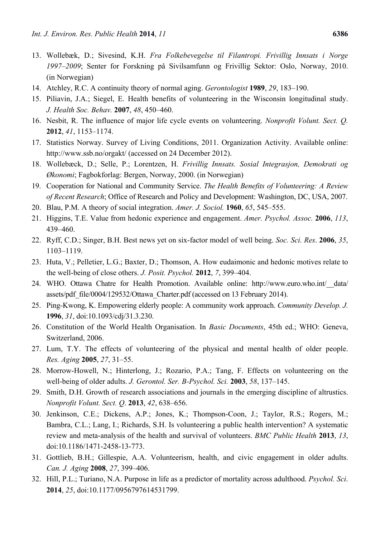- 13. Wollebæk, D.; Sivesind, K.H. *Fra Folkebevegelse til Filantropi. Frivillig Innsats i Norge 1997–2009*; Senter for Forskning på Sivilsamfunn og Frivillig Sektor: Oslo, Norway, 2010. (in Norwegian)
- 14. Atchley, R.C. A continuity theory of normal aging. *Gerontologist* **1989**, *29*, 183–190.
- 15. Piliavin, J.A.; Siegel, E. Health benefits of volunteering in the Wisconsin longitudinal study. *J. Health Soc. Behav.* **2007**, *48*, 450–460.
- 16. Nesbit, R. The influence of major life cycle events on volunteering. *Nonprofit Volunt. Sect. Q.*  **2012**, *41*, 1153–1174.
- 17. Statistics Norway. Survey of Living Conditions, 2011. Organization Activity. Available online: http://www.ssb.no/orgakt/ (accessed on 24 December 2012).
- 18. Wollebæck, D.; Selle, P.; Lorentzen, H. *Frivillig Innsats. Sosial Integrasjon, Demokrati og Økonomi*; Fagbokforlag: Bergen, Norway, 2000. (in Norwegian)
- 19. Cooperation for National and Community Service. *The Health Benefits of Volunteering: A Review of Recent Research*; Office of Research and Policy and Development: Washington, DC, USA, 2007.
- 20. Blau, P.M. A theory of social integration. *Amer. J. Sociol.* **1960**, *65*, 545–555.
- 21. Higgins, T.E. Value from hedonic experience and engagement. *Amer. Psychol. Assoc.* **2006**, *113*, 439–460.
- 22. Ryff, C.D.; Singer, B.H. Best news yet on six-factor model of well being. *Soc. Sci. Res*. **2006**, *35*, 1103–1119.
- 23. Huta, V.; Pelletier, L.G.; Baxter, D.; Thomson, A. How eudaimonic and hedonic motives relate to the well-being of close others. *J. Posit. Psychol.* **2012**, *7*, 399–404.
- 24. WHO. Ottawa Chatre for Health Promotion. Available online: http://www.euro.who.int/\_\_data/ assets/pdf\_file/0004/129532/Ottawa\_Charter.pdf (accessed on 13 February 2014).
- 25. Ping-Kwong, K. Empowering elderly people: A community work approach. *Community Develop. J.*  **1996**, *31*, doi:10.1093/cdj/31.3.230.
- 26. Constitution of the World Health Organisation. In *Basic Documents*, 45th ed.; WHO: Geneva, Switzerland, 2006.
- 27. Lum, T.Y. The effects of volunteering of the physical and mental health of older people. *Res. Aging* **2005**, *27*, 31–55.
- 28. Morrow-Howell, N.; Hinterlong, J.; Rozario, P.A.; Tang, F. Effects on volunteering on the well-being of older adults. *J. Gerontol. Ser. B-Psychol. Sci.* **2003**, *58*, 137–145.
- 29. Smith, D.H. Growth of research associations and journals in the emerging discipline of altrustics. *Nonprofit Volunt. Sect. Q*. **2013**, *42*, 638–656.
- 30. Jenkinson, C.E.; Dickens, A.P.; Jones, K.; Thompson-Coon, J.; Taylor, R.S.; Rogers, M.; Bambra, C.L.; Lang, I.; Richards, S.H. Is volunteering a public health intervention? A systematic review and meta-analysis of the health and survival of volunteers. *BMC Public Health* **2013**, *13*, doi:10.1186/1471-2458-13-773.
- 31. Gottlieb, B.H.; Gillespie, A.A. Volunteerism, health, and civic engagement in older adults. *Can. J. Aging* **2008**, *27*, 399–406.
- 32. Hill, P.L.; Turiano, N.A. Purpose in life as a predictor of mortality across adulthood. *Psychol. Sci*. **2014**, *25*, doi:10.1177/0956797614531799.